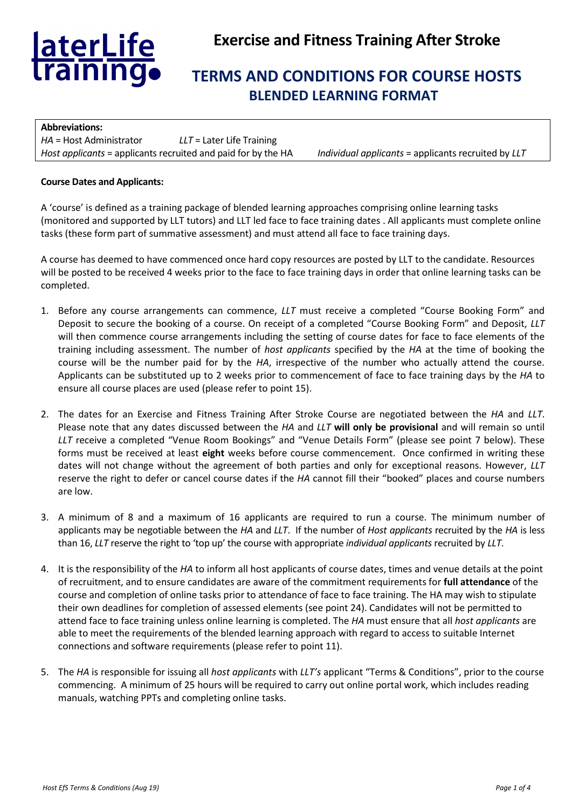

# **Exercise and Fitness Training After Stroke**

# **TERMS AND CONDITIONS FOR COURSE HOSTS BLENDED LEARNING FORMAT**

| <b>Abbreviations:</b>                                         |                             |                                                     |
|---------------------------------------------------------------|-----------------------------|-----------------------------------------------------|
| <i>HA</i> = Host Administrator                                | $LLT =$ Later Life Training |                                                     |
| Host applicants = applicants recruited and paid for by the HA |                             | Individual applicants = applicants recruited by LLT |

#### **Course Dates and Applicants:**

A 'course' is defined as a training package of blended learning approaches comprising online learning tasks (monitored and supported by LLT tutors) and LLT led face to face training dates . All applicants must complete online tasks (these form part of summative assessment) and must attend all face to face training days.

A course has deemed to have commenced once hard copy resources are posted by LLT to the candidate. Resources will be posted to be received 4 weeks prior to the face to face training days in order that online learning tasks can be completed.

- 1. Before any course arrangements can commence, *LLT* must receive a completed "Course Booking Form" and Deposit to secure the booking of a course. On receipt of a completed "Course Booking Form" and Deposit, *LLT* will then commence course arrangements including the setting of course dates for face to face elements of the training including assessment. The number of *host applicants* specified by the *HA* at the time of booking the course will be the number paid for by the *HA*, irrespective of the number who actually attend the course. Applicants can be substituted up to 2 weeks prior to commencement of face to face training days by the *HA* to ensure all course places are used (please refer to point 15).
- 2. The dates for an Exercise and Fitness Training After Stroke Course are negotiated between the *HA* and *LLT*. Please note that any dates discussed between the *HA* and *LLT* **will only be provisional** and will remain so until *LLT* receive a completed "Venue Room Bookings" and "Venue Details Form" (please see point 7 below). These forms must be received at least **eight** weeks before course commencement. Once confirmed in writing these dates will not change without the agreement of both parties and only for exceptional reasons. However, *LLT* reserve the right to defer or cancel course dates if the *HA* cannot fill their "booked" places and course numbers are low.
- 3. A minimum of 8 and a maximum of 16 applicants are required to run a course. The minimum number of applicants may be negotiable between the *HA* and *LLT*. If the number of *Host applicants* recruited by the *HA* is less than 16, *LLT* reserve the right to 'top up' the course with appropriate *individual applicants* recruited by *LLT*.
- 4. It is the responsibility of the *HA* to inform all host applicants of course dates, times and venue details at the point of recruitment, and to ensure candidates are aware of the commitment requirements for **full attendance** of the course and completion of online tasks prior to attendance of face to face training. The HA may wish to stipulate their own deadlines for completion of assessed elements (see point 24). Candidates will not be permitted to attend face to face training unless online learning is completed. The *HA* must ensure that all *host applicants* are able to meet the requirements of the blended learning approach with regard to access to suitable Internet connections and software requirements (please refer to point 11).
- 5. The *HA* is responsible for issuing all *host applicants* with *LLT's* applicant "Terms & Conditions", prior to the course commencing. A minimum of 25 hours will be required to carry out online portal work, which includes reading manuals, watching PPTs and completing online tasks.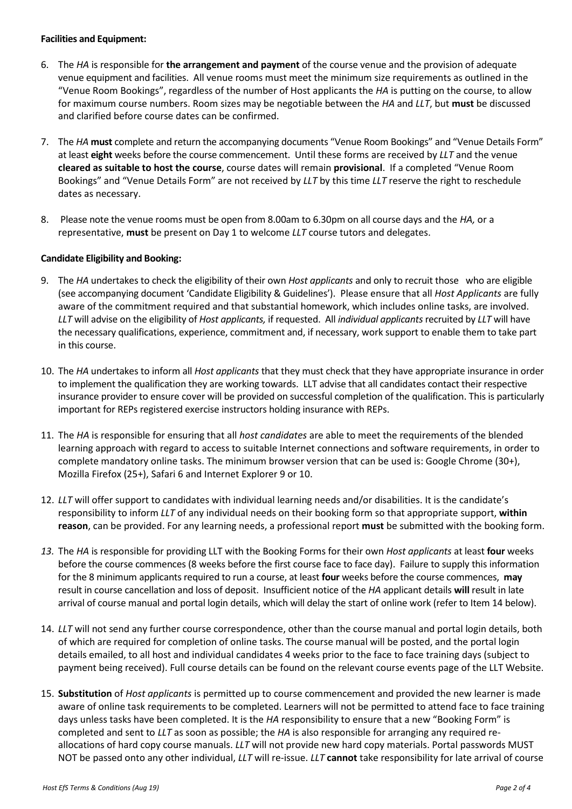#### **Facilities and Equipment:**

- 6. The *HA* is responsible for **the arrangement and payment** of the course venue and the provision of adequate venue equipment and facilities. All venue rooms must meet the minimum size requirements as outlined in the "Venue Room Bookings", regardless of the number of Host applicants the *HA* is putting on the course, to allow for maximum course numbers. Room sizes may be negotiable between the *HA* and *LLT*, but **must** be discussed and clarified before course dates can be confirmed.
- 7. The *HA* **must** complete and return the accompanying documents "Venue Room Bookings" and "Venue Details Form" at least **eight** weeks before the course commencement. Until these forms are received by *LLT* and the venue **cleared as suitable to host the course**, course dates will remain **provisional**. If a completed "Venue Room Bookings" and "Venue Details Form" are not received by *LLT* by this time *LLT* reserve the right to reschedule dates as necessary.
- 8. Please note the venue rooms must be open from 8.00am to 6.30pm on all course days and the *HA,* or a representative, **must** be present on Day 1 to welcome *LLT* course tutors and delegates.

## **Candidate Eligibility and Booking:**

- 9. The *HA* undertakes to check the eligibility of their own *Host applicants* and only to recruit those who are eligible (see accompanying document 'Candidate Eligibility & Guidelines'). Please ensure that all *Host Applicants* are fully aware of the commitment required and that substantial homework, which includes online tasks, are involved. *LLT* will advise on the eligibility of *Host applicants,* if requested. All *individual applicants* recruited by *LLT* will have the necessary qualifications, experience, commitment and, if necessary, work support to enable them to take part in this course.
- 10. The *HA* undertakes to inform all *Host applicants* that they must check that they have appropriate insurance in order to implement the qualification they are working towards. LLT advise that all candidates contact their respective insurance provider to ensure cover will be provided on successful completion of the qualification. This is particularly important for REPs registered exercise instructors holding insurance with REPs.
- 11. The *HA* is responsible for ensuring that all *host candidates* are able to meet the requirements of the blended learning approach with regard to access to suitable Internet connections and software requirements, in order to complete mandatory online tasks. The minimum browser version that can be used is: Google Chrome (30+), Mozilla Firefox (25+), Safari 6 and Internet Explorer 9 or 10.
- 12. *LLT* will offer support to candidates with individual learning needs and/or disabilities. It is the candidate's responsibility to inform *LLT* of any individual needs on their booking form so that appropriate support, **within reason**, can be provided. For any learning needs, a professional report **must** be submitted with the booking form.
- *13.* The *HA* is responsible for providing LLT with the Booking Forms for their own *Host applicants* at least **four** weeks before the course commences (8 weeks before the first course face to face day). Failure to supply this information for the 8 minimum applicants required to run a course, at least **four** weeks before the course commences, **may** result in course cancellation and loss of deposit. Insufficient notice of the *HA* applicant details **will** result in late arrival of course manual and portal login details, which will delay the start of online work (refer to Item 14 below).
- 14. *LLT* will not send any further course correspondence, other than the course manual and portal login details, both of which are required for completion of online tasks. The course manual will be posted, and the portal login details emailed, to all host and individual candidates 4 weeks prior to the face to face training days (subject to payment being received). Full course details can be found on the relevant course events page of the LLT Website.
- 15. **Substitution** of *Host applicants* is permitted up to course commencement and provided the new learner is made aware of online task requirements to be completed. Learners will not be permitted to attend face to face training days unless tasks have been completed. It is the *HA* responsibility to ensure that a new "Booking Form" is completed and sent to *LLT* as soon as possible; the *HA* is also responsible for arranging any required reallocations of hard copy course manuals. *LLT* will not provide new hard copy materials. Portal passwords MUST NOT be passed onto any other individual, *LLT* will re-issue. *LLT* **cannot** take responsibility for late arrival of course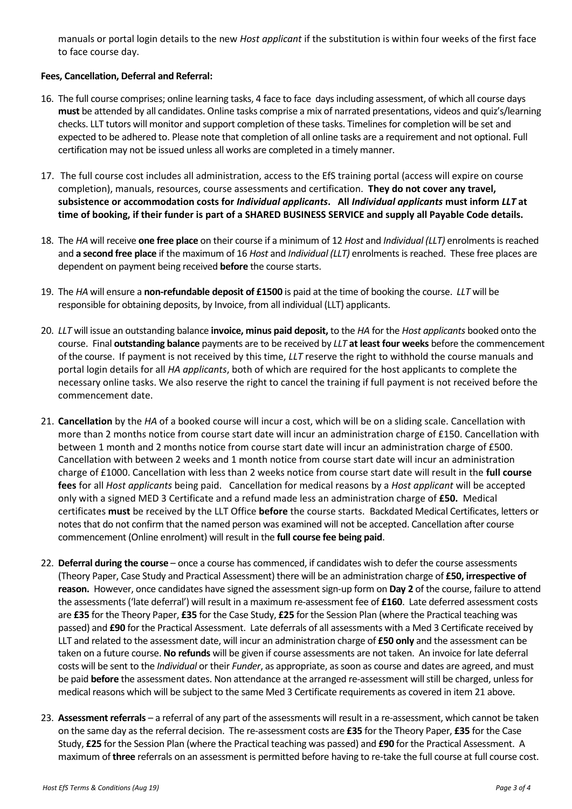manuals or portal login details to the new *Host applicant* if the substitution is within four weeks of the first face to face course day.

## **Fees, Cancellation, Deferral and Referral:**

- 16. The full course comprises; online learning tasks, 4 face to face days including assessment, of which all course days **must** be attended by all candidates. Online tasks comprise a mix of narrated presentations, videos and quiz's/learning checks. LLT tutors will monitor and support completion of these tasks. Timelines for completion will be set and expected to be adhered to. Please note that completion of all online tasks are a requirement and not optional. Full certification may not be issued unless all works are completed in a timely manner.
- 17. The full course cost includes all administration, access to the EfS training portal (access will expire on course completion), manuals, resources, course assessments and certification. **They do not cover any travel, subsistence or accommodation costs for** *Individual applicants***. All** *Individual applicants* **must inform** *LLT* **at time of booking, if their funder is part of a SHARED BUSINESS SERVICE and supply all Payable Code details.**
- 18. The *HA* will receive **one free place** on their course if a minimum of 12 *Host* and *Individual (LLT)* enrolments is reached and **a second free place** if the maximum of 16 *Host* and *Individual (LLT)* enrolments is reached. These free places are dependent on payment being received **before** the course starts.
- 19. The *HA* will ensure a **non-refundable deposit of £1500** is paid at the time of booking the course. *LLT* will be responsible for obtaining deposits, by Invoice, from all individual (LLT) applicants.
- 20. *LLT* will issue an outstanding balance **invoice, minus paid deposit,** to the *HA* for the *Host applicants* booked onto the course. Final **outstanding balance** payments are to be received by *LLT* **at least four weeks** before the commencement of the course. If payment is not received by this time, *LLT* reserve the right to withhold the course manuals and portal login details for all *HA applicants*, both of which are required for the host applicants to complete the necessary online tasks. We also reserve the right to cancel the training if full payment is not received before the commencement date.
- 21. **Cancellation** by the *HA* of a booked course will incur a cost, which will be on a sliding scale. Cancellation with more than 2 months notice from course start date will incur an administration charge of £150. Cancellation with between 1 month and 2 months notice from course start date will incur an administration charge of £500. Cancellation with between 2 weeks and 1 month notice from course start date will incur an administration charge of £1000. Cancellation with less than 2 weeks notice from course start date will result in the **full course fees** for all *Host applicants* being paid. Cancellation for medical reasons by a *Host applicant* will be accepted only with a signed MED 3 Certificate and a refund made less an administration charge of **£50.** Medical certificates **must** be received by the LLT Office **before** the course starts. Backdated Medical Certificates, letters or notes that do not confirm that the named person was examined will not be accepted. Cancellation after course commencement (Online enrolment) will result in the **full course fee being paid**.
- 22. **Deferral during the course** once a course has commenced, if candidates wish to defer the course assessments (Theory Paper, Case Study and Practical Assessment) there will be an administration charge of **£50, irrespective of reason.** However, once candidates have signed the assessment sign-up form on **Day 2** of the course, failure to attend the assessments ('late deferral') will result in a maximum re-assessment fee of **£160**. Late deferred assessment costs are **£35** for the Theory Paper, **£35** for the Case Study, **£25** for the Session Plan (where the Practical teaching was passed) and **£90** for the Practical Assessment. Late deferrals of all assessments with a Med 3 Certificate received by LLT and related to the assessment date, will incur an administration charge of **£50 only** and the assessment can be taken on a future course. **No refunds** will be given if course assessments are not taken. An invoice for late deferral costs will be sent to the *Individual* or their *Funder*, as appropriate, as soon as course and dates are agreed, and must be paid **before** the assessment dates. Non attendance at the arranged re-assessment will still be charged, unless for medical reasons which will be subject to the same Med 3 Certificate requirements as covered in item 21 above.
- 23. **Assessment referrals**  a referral of any part of the assessments will result in a re-assessment, which cannot be taken on the same day as the referral decision. The re-assessment costs are **£35** for the Theory Paper, **£35** for the Case Study, **£25** for the Session Plan (where the Practical teaching was passed) and **£90** for the Practical Assessment. A maximum of **three** referrals on an assessment is permitted before having to re-take the full course at full course cost.